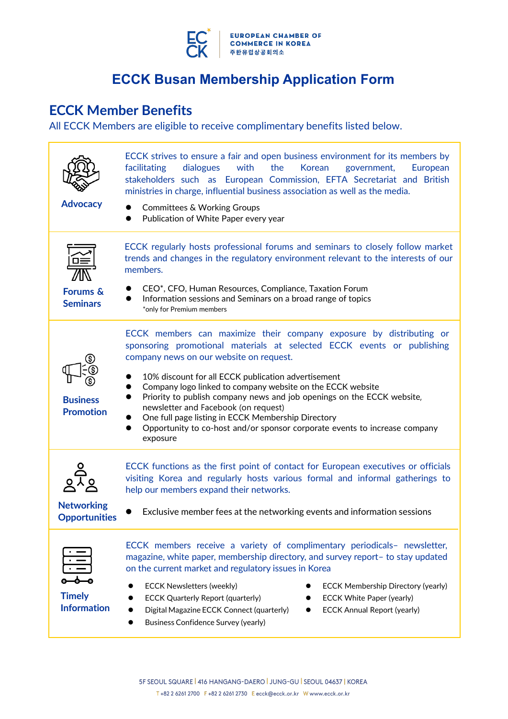

# **ECCK Member Benefits**

All ECCK Members are eligible to receive complimentary benefits listed below.

| <b>Advocacy</b>                           | ECCK strives to ensure a fair and open business environment for its members by<br>with<br>facilitating<br>dialogues<br>the<br>Korean<br>government,<br>European<br>stakeholders such as European Commission, EFTA Secretariat and British<br>ministries in charge, influential business association as well as the media.<br><b>Committees &amp; Working Groups</b><br>Publication of White Paper every year                                                                                                                                                                    |  |  |
|-------------------------------------------|---------------------------------------------------------------------------------------------------------------------------------------------------------------------------------------------------------------------------------------------------------------------------------------------------------------------------------------------------------------------------------------------------------------------------------------------------------------------------------------------------------------------------------------------------------------------------------|--|--|
| <b>Forums &amp;</b><br><b>Seminars</b>    | ECCK regularly hosts professional forums and seminars to closely follow market<br>trends and changes in the regulatory environment relevant to the interests of our<br>members.<br>CEO*, CFO, Human Resources, Compliance, Taxation Forum<br>Information sessions and Seminars on a broad range of topics<br>*only for Premium members                                                                                                                                                                                                                                          |  |  |
| <b>Business</b><br><b>Promotion</b>       | ECCK members can maximize their company exposure by distributing or<br>sponsoring promotional materials at selected ECCK events or publishing<br>company news on our website on request.<br>10% discount for all ECCK publication advertisement<br>Company logo linked to company website on the ECCK website<br>Priority to publish company news and job openings on the ECCK website,<br>newsletter and Facebook (on request)<br>One full page listing in ECCK Membership Directory<br>Opportunity to co-host and/or sponsor corporate events to increase company<br>exposure |  |  |
| <b>Networking</b><br><b>Opportunities</b> | ECCK functions as the first point of contact for European executives or officials<br>visiting Korea and regularly hosts various formal and informal gatherings to<br>help our members expand their networks.<br>Exclusive member fees at the networking events and information sessions                                                                                                                                                                                                                                                                                         |  |  |
| <b>Timely</b><br><b>Information</b>       | ECCK members receive a variety of complimentary periodicals- newsletter,<br>magazine, white paper, membership directory, and survey report- to stay updated<br>on the current market and regulatory issues in Korea<br><b>ECCK Newsletters (weekly)</b><br><b>ECCK Membership Directory (yearly)</b><br><b>ECCK White Paper (yearly)</b><br><b>ECCK Quarterly Report (quarterly)</b><br>Digital Magazine ECCK Connect (quarterly)<br><b>ECCK Annual Report (yearly)</b><br><b>Business Confidence Survey (yearly)</b>                                                           |  |  |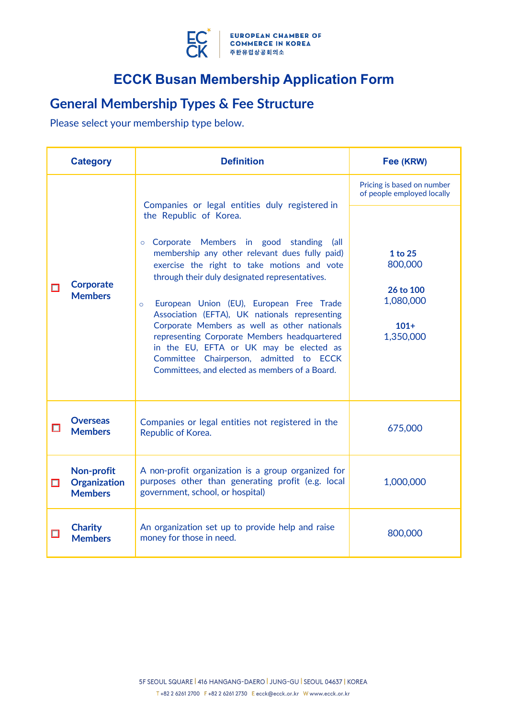

# **General Membership Types & Fee Structure**

Please select your membership type below.

|   | <b>Category</b>                                     | <b>Definition</b>                                                                                                                                                                                                                                                                                                                                                                                                                                                                                                                                                         | Fee (KRW)                                                           |
|---|-----------------------------------------------------|---------------------------------------------------------------------------------------------------------------------------------------------------------------------------------------------------------------------------------------------------------------------------------------------------------------------------------------------------------------------------------------------------------------------------------------------------------------------------------------------------------------------------------------------------------------------------|---------------------------------------------------------------------|
|   | <b>Corporate</b><br><b>Members</b>                  | Companies or legal entities duly registered in                                                                                                                                                                                                                                                                                                                                                                                                                                                                                                                            | Pricing is based on number<br>of people employed locally            |
| П |                                                     | the Republic of Korea.<br>o Corporate Members in good standing<br>(all<br>membership any other relevant dues fully paid)<br>exercise the right to take motions and vote<br>through their duly designated representatives.<br>European Union (EU), European Free Trade<br>$\circ$<br>Association (EFTA), UK nationals representing<br>Corporate Members as well as other nationals<br>representing Corporate Members headquartered<br>in the EU, EFTA or UK may be elected as<br>Committee Chairperson, admitted to ECCK<br>Committees, and elected as members of a Board. | 1 to 25<br>800,000<br>26 to 100<br>1,080,000<br>$101+$<br>1,350,000 |
| □ | <b>Overseas</b><br><b>Members</b>                   | Companies or legal entities not registered in the<br>Republic of Korea.                                                                                                                                                                                                                                                                                                                                                                                                                                                                                                   | 675,000                                                             |
| П | Non-profit<br><b>Organization</b><br><b>Members</b> | A non-profit organization is a group organized for<br>purposes other than generating profit (e.g. local<br>government, school, or hospital)                                                                                                                                                                                                                                                                                                                                                                                                                               | 1,000,000                                                           |
|   | <b>Charity</b><br><b>Members</b>                    | An organization set up to provide help and raise<br>money for those in need.                                                                                                                                                                                                                                                                                                                                                                                                                                                                                              | 800,000                                                             |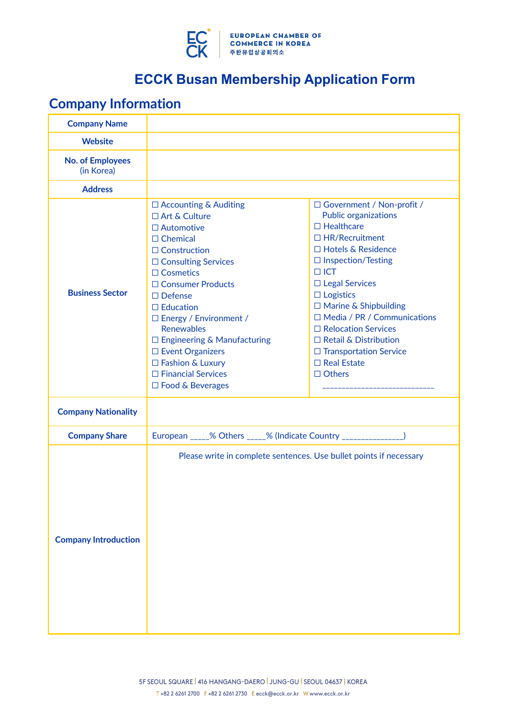

# **Company Information**

| <b>Company Name</b>                   |                                                                                                                                                                                                                                                                                                                                                                                                                             |                                                                                                                                                                                                                                                                                                                                                                                                                                 |
|---------------------------------------|-----------------------------------------------------------------------------------------------------------------------------------------------------------------------------------------------------------------------------------------------------------------------------------------------------------------------------------------------------------------------------------------------------------------------------|---------------------------------------------------------------------------------------------------------------------------------------------------------------------------------------------------------------------------------------------------------------------------------------------------------------------------------------------------------------------------------------------------------------------------------|
| <b>Website</b>                        |                                                                                                                                                                                                                                                                                                                                                                                                                             |                                                                                                                                                                                                                                                                                                                                                                                                                                 |
| <b>No. of Employees</b><br>(in Korea) |                                                                                                                                                                                                                                                                                                                                                                                                                             |                                                                                                                                                                                                                                                                                                                                                                                                                                 |
| <b>Address</b>                        |                                                                                                                                                                                                                                                                                                                                                                                                                             |                                                                                                                                                                                                                                                                                                                                                                                                                                 |
| <b>Business Sector</b>                | $\Box$ Accounting & Auditing<br>$\Box$ Art & Culture<br>$\square$ Automotive<br>$\Box$ Chemical<br>$\Box$ Construction<br>$\Box$ Consulting Services<br>$\Box$ Cosmetics<br>□ Consumer Products<br>$\Box$ Defense<br>$\Box$ Education<br>□ Energy / Environment /<br><b>Renewables</b><br>$\Box$ Engineering & Manufacturing<br>□ Event Organizers<br>□ Fashion & Luxury<br>□ Financial Services<br>$\Box$ Food & Beverages | □ Government / Non-profit /<br><b>Public organizations</b><br>$\Box$ Healthcare<br>$\Box$ HR/Recruitment<br>□ Hotels & Residence<br>$\Box$ Inspection/Testing<br>$\Box$ ICT<br>$\Box$ Legal Services<br>$\Box$ Logistics<br>$\Box$ Marine & Shipbuilding<br>$\Box$ Media / PR / Communications<br>□ Relocation Services<br>$\Box$ Retail & Distribution<br>$\Box$ Transportation Service<br>$\Box$ Real Estate<br>$\Box$ Others |
| <b>Company Nationality</b>            |                                                                                                                                                                                                                                                                                                                                                                                                                             |                                                                                                                                                                                                                                                                                                                                                                                                                                 |
| <b>Company Share</b>                  | European _____% Others _____% (Indicate Country ________________)                                                                                                                                                                                                                                                                                                                                                           |                                                                                                                                                                                                                                                                                                                                                                                                                                 |
| <b>Company Introduction</b>           | Please write in complete sentences. Use bullet points if necessary                                                                                                                                                                                                                                                                                                                                                          |                                                                                                                                                                                                                                                                                                                                                                                                                                 |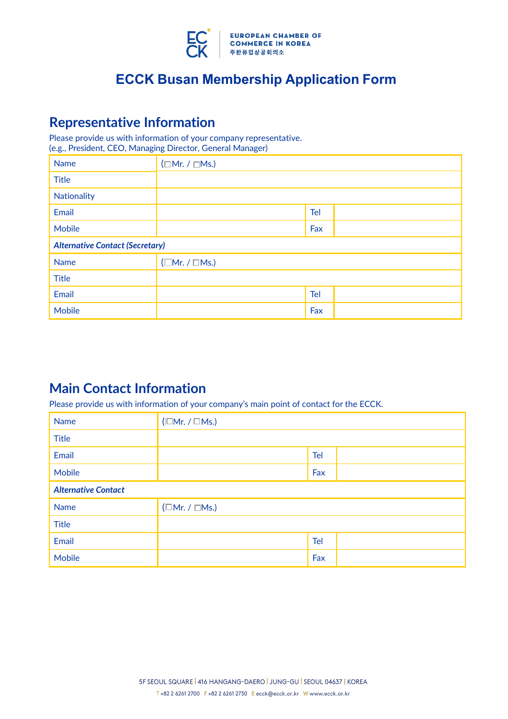

### **Representative Information**

Please provide us with information of your company representative. (e.g., President, CEO, Managing Director, General Manager)

| <b>Name</b>                            | $(\Box Mr. / \Box Ms.)$ |            |  |
|----------------------------------------|-------------------------|------------|--|
| <b>Title</b>                           |                         |            |  |
| Nationality                            |                         |            |  |
| Email                                  |                         | <b>Tel</b> |  |
| <b>Mobile</b>                          |                         | Fax        |  |
| <b>Alternative Contact (Secretary)</b> |                         |            |  |
| <b>Name</b>                            | $(\Box Mr. / \Box Ms.)$ |            |  |
| <b>Title</b>                           |                         |            |  |
| Email                                  |                         | Tel        |  |
| <b>Mobile</b>                          |                         | Fax        |  |

## **Main Contact Information**

Please provide us with information of your company's main point of contact for the ECCK.

| <b>Name</b>                | $(\Box Mr. / \Box Ms.)$   |            |  |
|----------------------------|---------------------------|------------|--|
| <b>Title</b>               |                           |            |  |
| Email                      |                           | Tel        |  |
| Mobile                     |                           | Fax        |  |
| <b>Alternative Contact</b> |                           |            |  |
| <b>Name</b>                | $(\Box$ Mr. / $\Box$ Ms.) |            |  |
| <b>Title</b>               |                           |            |  |
| Email                      |                           | <b>Tel</b> |  |
| <b>Mobile</b>              |                           | Fax        |  |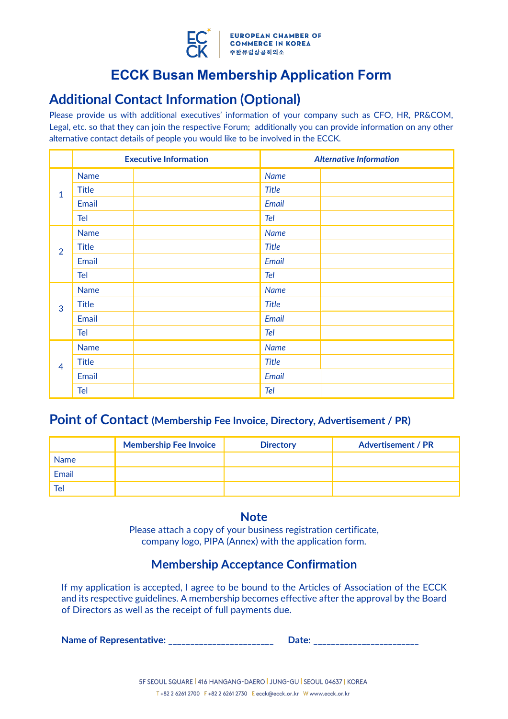

## **Additional Contact Information (Optional)**

Please provide us with additional executives' information of your company such as CFO, HR, PR&COM, Legal, etc. so that they can join the respective Forum; additionally you can provide information on any other alternative contact details of people you would like to be involved in the ECCK.

|                |              | <b>Executive Information</b> |              | <b>Alternative Information</b> |
|----------------|--------------|------------------------------|--------------|--------------------------------|
| $\mathbf{1}$   | <b>Name</b>  |                              | <b>Name</b>  |                                |
|                | <b>Title</b> |                              | <b>Title</b> |                                |
|                | Email        |                              | Email        |                                |
|                | <b>Tel</b>   |                              | Tel          |                                |
|                | <b>Name</b>  |                              | <b>Name</b>  |                                |
| $\overline{2}$ | <b>Title</b> |                              | <b>Title</b> |                                |
|                | Email        |                              | Email        |                                |
|                | Tel          |                              | Tel          |                                |
|                | <b>Name</b>  |                              | <b>Name</b>  |                                |
| 3              | <b>Title</b> |                              | <b>Title</b> |                                |
|                | Email        |                              | Email        |                                |
|                | Tel          |                              | Tel          |                                |
| $\overline{4}$ | <b>Name</b>  |                              | <b>Name</b>  |                                |
|                | <b>Title</b> |                              | <b>Title</b> |                                |
|                | Email        |                              | Email        |                                |
|                | <b>Tel</b>   |                              | Tel          |                                |

### **Point of Contact (Membership Fee Invoice, Directory, Advertisement / PR)**

|             | <b>Membership Fee Invoice</b> | <b>Directory</b> | <b>Advertisement / PR</b> |
|-------------|-------------------------------|------------------|---------------------------|
| <b>Name</b> |                               |                  |                           |
| Email       |                               |                  |                           |
| Tel         |                               |                  |                           |

### **Note**

Please attach a copy of your business registration certificate, company logo, PIPA (Annex) with the application form.

### **Membership Acceptance Confirmation**

If my application is accepted, I agree to be bound to the Articles of Association of the ECCK and its respective guidelines. A membership becomes effective after the approval by the Board of Directors as well as the receipt of full payments due.

**Name of Representative: Date: 2020** 

| <b>Jate:</b> |  |
|--------------|--|
|              |  |